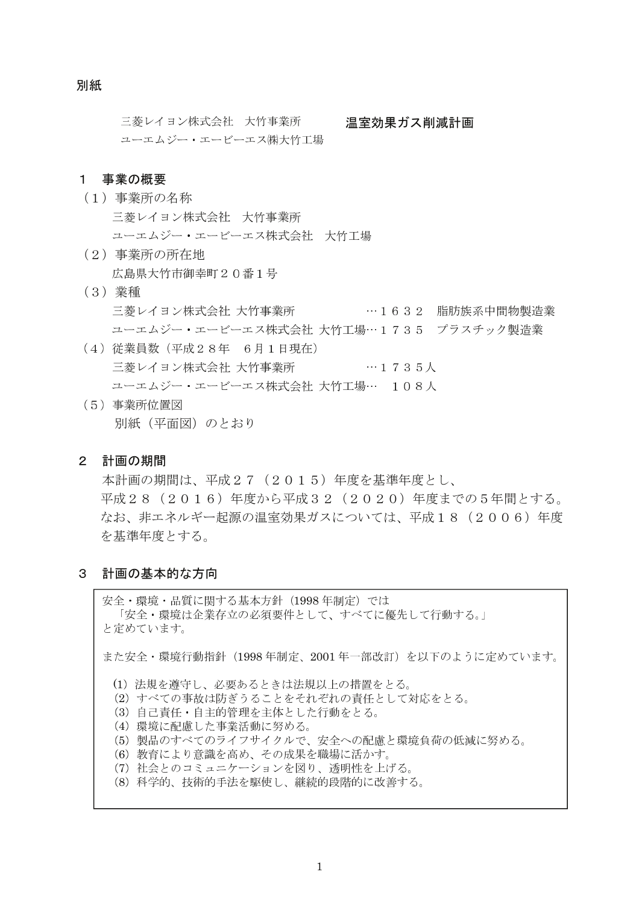#### 別紙

三菱レイヨン株式会社 大竹事業所 温室効果ガス削減計画 ユーエムジー・エービーエス㈱大竹工場

#### 1 事業の概要

- (1) 事業所の名称 三菱レイヨン株式会社 大竹事業所 ユーエムジー・エービーエス株式会社 大竹工場
- (2) 事業所の所在地 広島県大竹市御幸町20番1号
- (3) 業種 …1632 脂肪族系中間物製造業 三菱レイヨン株式会社 大竹事業所 ユーエムジー・エービーエス株式会社 大竹工場…1735 プラスチック製造業
- (4) 従業員数 (平成28年 6月1日現在) ユーエムジー・エービーエス株式会社 大竹工場… 108人
- (5) 事業所位置図 別紙(平面図)のとおり

#### 2 計画の期間

本計画の期間は、平成27 (2015) 年度を基準年度とし、 平成28 (2016) 年度から平成32 (2020) 年度までの5年間とする。 なお、非エネルギー起源の温室効果ガスについては、平成18 (2006)年度 を基準年度とする。

3 計画の基本的な方向

安全・環境・品質に関する基本方針 (1998年制定) では 「安全・環境は企業存立の必須要件として、すべてに優先して行動する。」 と定めています。

また安全・環境行動指針 (1998年制定、2001年一部改訂)を以下のように定めています。

- (1) 法規を遵守し、必要あるときは法規以上の措置をとる。
- (2) すべての事故は防ぎうることをそれぞれの責任として対応をとる。
- (3) 自己責任・自主的管理を主体とした行動をとる。
- (4) 環境に配慮した事業活動に努める。
- (5) 製品のすべてのライフサイクルで、安全への配慮と環境負荷の低減に努める。
- (6) 教育により意識を高め、その成果を職場に活かす。
- (7) 社会とのコミュニケーションを図り、透明性を上げる。
- (8) 科学的、技術的手法を駆使し、継続的段階的に改善する。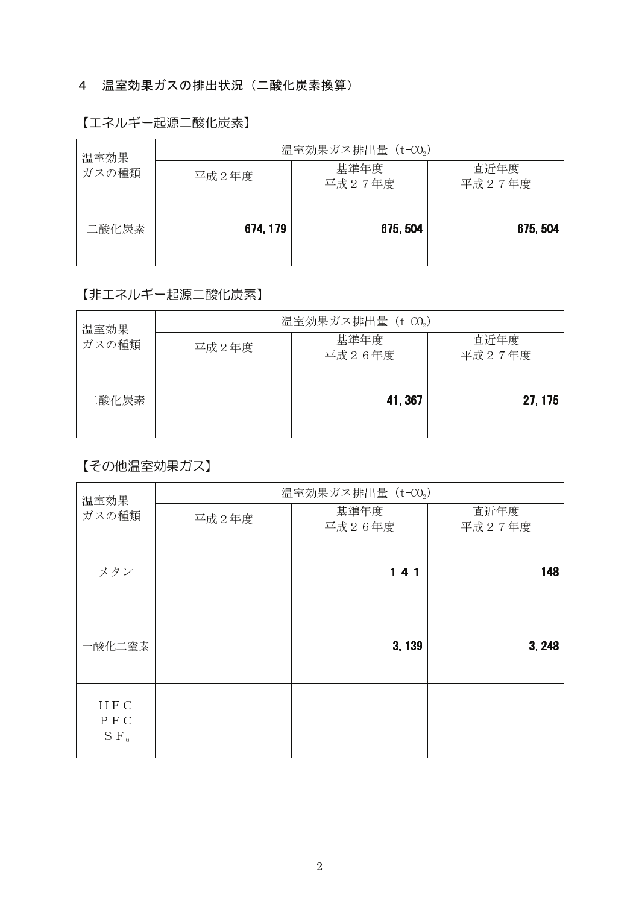# 4 温室効果ガスの排出状況 (二酸化炭素換算)

## 【エネルギー起源二酸化炭素】

| 温室効果  | 温室効果ガス排出量 (t-CO2) |                |                |  |
|-------|-------------------|----------------|----------------|--|
| ガスの種類 | 平成2年度             | 基準年度<br>平成27年度 | 直近年度<br>平成27年度 |  |
| 二酸化炭素 | 674, 179          | 675, 504       | 675, 504       |  |

# 【非エネルギー起源二酸化炭素】

| 温室効果  | 温室効果ガス排出量 (t-CO2) |                |                |  |
|-------|-------------------|----------------|----------------|--|
| ガスの種類 | 平成2年度             | 基準年度<br>平成26年度 | 直近年度<br>平成27年度 |  |
| 二酸化炭素 |                   | 41, 367        | 27, 175        |  |

# 【その他温室効果ガス】

| 温室効果                                  | 温室効果ガス排出量 (t-CO2) |                |                |  |
|---------------------------------------|-------------------|----------------|----------------|--|
| ガスの種類                                 | 平成2年度             | 基準年度<br>平成26年度 | 直近年度<br>平成27年度 |  |
| メタン                                   |                   | 141            | 148            |  |
| 一酸化二窒素                                |                   | 3,139          | 3, 248         |  |
| <b>HFC</b><br>PFC<br>S F <sub>6</sub> |                   |                |                |  |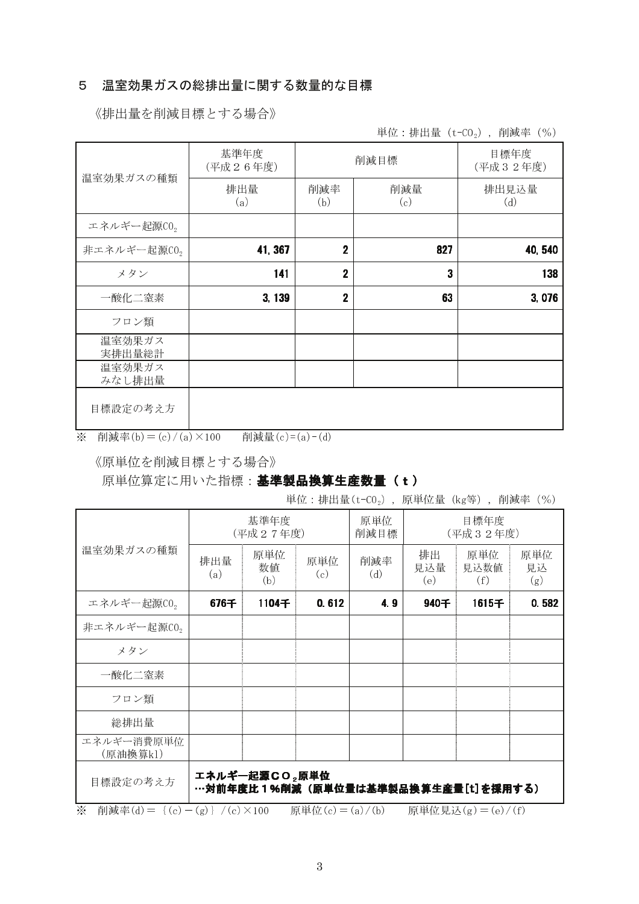## 5 温室効果ガスの総排出量に関する数量的な目標

《排出量を削減目標とする場合》

単位:排出量  $(t$ -CO<sub>2</sub>), 削減率 (%)

| 温室効果ガスの種類        | 基準年度<br>(平成26年度) |                | 削減目標       | 目標年度<br>(平成32年度) |
|------------------|------------------|----------------|------------|------------------|
|                  | 排出量<br>(a)       | 削減率<br>(b)     | 削減量<br>(c) | 排出見込量<br>(d)     |
| エネルギー起源CO2       |                  |                |            |                  |
| 非エネルギー起源 $CO2$   | 41, 367          | $\overline{2}$ | 827        | 40,540           |
| メタン              | 141              | $\overline{2}$ | 3          | 138              |
| 一酸化二窒素           | 3,139            | $\overline{2}$ | 63         | 3,076            |
| フロン類             |                  |                |            |                  |
| 温室効果ガス<br>実排出量総計 |                  |                |            |                  |
| 温室効果ガス<br>みなし排出量 |                  |                |            |                  |
| 目標設定の考え方         |                  |                |            |                  |

※ 削減率(b) = (c) /(a) × 100 削減量(c) = (a) - (d)

《原単位を削減目標とする場合》

## 原単位算定に用いた指標:基準製品換算生産数量(t)

単位: 排出量 $(t-C0<sub>2</sub>)$ , 原単位量 $(kg$ 等), 削減率 $(%)$ 

|                         | 基準年度<br>(平成27年度)                                    |                  | 原単位<br>削減目標 | 目標年度<br>(平成32年度) |                  |                    |                  |
|-------------------------|-----------------------------------------------------|------------------|-------------|------------------|------------------|--------------------|------------------|
| 温室効果ガスの種類               | 排出量<br>(a)                                          | 原単位<br>数值<br>(b) | 原単位<br>(c)  | 削減率<br>(d)       | 排出<br>見込量<br>(e) | 原単位<br>見込数値<br>(f) | 原単位<br>見込<br>(g) |
| エネルギー起源CO2              | 676千                                                | 1104千            | 0.612       | 4.9              | 940千             | 1615千              | 0.582            |
| 非エネルギー起源CO <sub>2</sub> |                                                     |                  |             |                  |                  |                    |                  |
| メタン                     |                                                     |                  |             |                  |                  |                    |                  |
| 一酸化二窒素                  |                                                     |                  |             |                  |                  |                    |                  |
| フロン類                    |                                                     |                  |             |                  |                  |                    |                  |
| 総排出量                    |                                                     |                  |             |                  |                  |                    |                  |
| エネルギー消費原単位<br>(原油換算k1)  |                                                     |                  |             |                  |                  |                    |                  |
| 目標設定の考え方                | エネルギー起源CO٫原単位<br>…対前年度比1%削減(原単位量は基準製品換算生産量[t]を採用する) |                  |             |                  |                  |                    |                  |

※ 削減率(d) = {(c) - (g)} /(c) × 100 原単位(c) = (a) /(b) 原単位見込(g) = (e) /(f)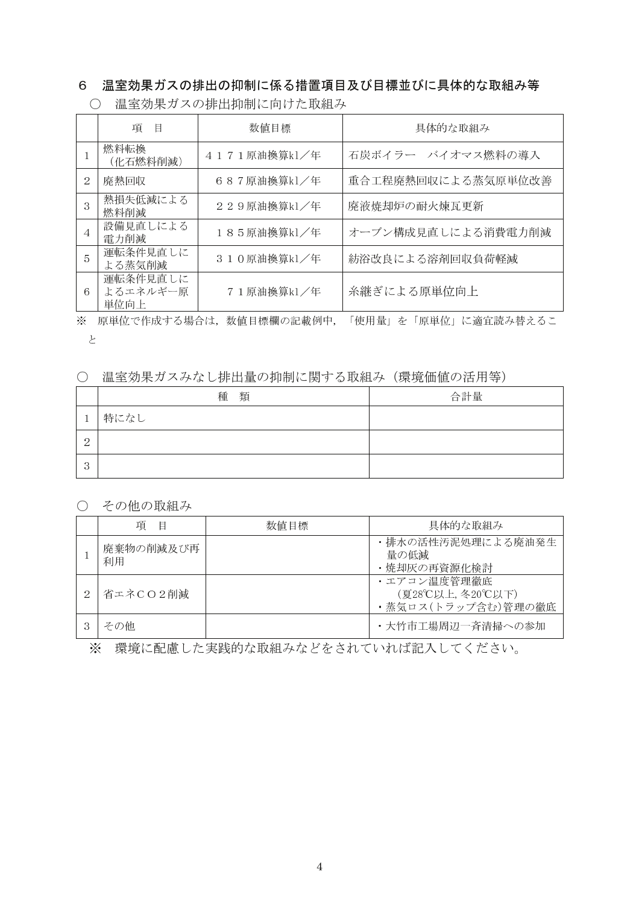# 6 温室効果ガスの排出の抑制に係る措置項目及び目標並びに具体的な取組み等

|        | 項<br>目                       | 数值目標         | 具体的な取組み                |
|--------|------------------------------|--------------|------------------------|
|        | 燃料転換<br>(化石燃料削減)             | 4171原油換算k1/年 | 石炭ボイラー バイオマス燃料の導入      |
| 2      | 廃熱回収                         | 687原油換算k1/年  | 重合工程廃熱回収による蒸気原単位改善     |
| 3      | 熱損失低減による<br>燃料削減             | 229原油換算k1/年  | 廃液焼却炉の耐火煉瓦更新           |
| 4      | 設備見直しによる<br>電力削減             | 185原油換算k1/年  | オーブン構成見直しによる消費電力削減     |
| 5      | 運転条件見直しに<br>よる蒸気削減           | 310原油換算k1/年  | 紡浴改良による溶剤回収負荷軽減        |
| 6      | 運転条件見直しに<br>よるエネルギー原<br>単位向上 | 71原油换算k1/年   | 糸継ぎによる原単位向上            |
| $\vee$ | 田出店ネ花声よァ 坦人は                 | 彩炭の補拠の記載なけ   | 「仕田具」ナ、「百畄仕」ア海亭書7.巷きァァ |

○ 温室効果ガスの排出抑制に向けた取組み

※ 原単位で作成する場合は,数値目標欄の記載例中,「使用量」を「原単位」に適宜読み替えるこ

 $\epsilon$ 

### ○ 温室効果ガスみなし排出量の抑制に関する取組み (環境価値の活用等)

|                 | 種 類  | 合計量 |
|-----------------|------|-----|
|                 | 特になし |     |
| $\Omega$<br>↵   |      |     |
| $\Omega$<br>- 1 |      |     |

○ その他の取組み

| 項<br>目          | 数值目標 | 具体的な取組み                                              |
|-----------------|------|------------------------------------------------------|
| 廃棄物の削減及び再<br>利用 |      | •排水の活性汚泥処理による廃油発生<br>量の低減<br>・焼却灰の再資源化検討             |
| 省エネCO2削減        |      | ・エアコン温度管理徹底<br>(夏28℃以上,冬20℃以下)<br>・蒸気ロス(トラップ含む)管理の徹底 |
| その他             |      | ・大竹市工場周辺一斉清掃への参加                                     |

※ 環境に配慮した実践的な取組みなどをされていれば記入してください。